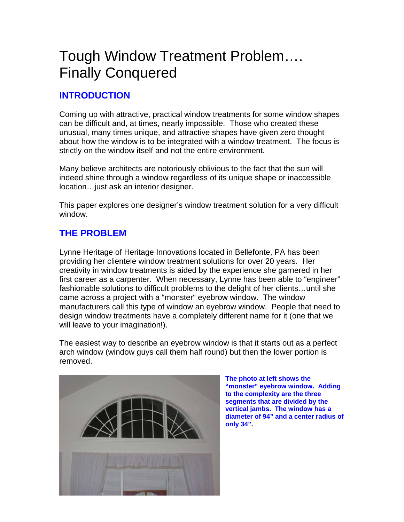# Tough Window Treatment Problem…. Finally Conquered

# **INTRODUCTION**

Coming up with attractive, practical window treatments for some window shapes can be difficult and, at times, nearly impossible. Those who created these unusual, many times unique, and attractive shapes have given zero thought about how the window is to be integrated with a window treatment. The focus is strictly on the window itself and not the entire environment.

Many believe architects are notoriously oblivious to the fact that the sun will indeed shine through a window regardless of its unique shape or inaccessible location…just ask an interior designer.

This paper explores one designer's window treatment solution for a very difficult window.

# **THE PROBLEM**

Lynne Heritage of Heritage Innovations located in Bellefonte, PA has been providing her clientele window treatment solutions for over 20 years. Her creativity in window treatments is aided by the experience she garnered in her first career as a carpenter. When necessary, Lynne has been able to "engineer" fashionable solutions to difficult problems to the delight of her clients…until she came across a project with a "monster" eyebrow window. The window manufacturers call this type of window an eyebrow window. People that need to design window treatments have a completely different name for it (one that we will leave to your imagination!).

The easiest way to describe an eyebrow window is that it starts out as a perfect arch window (window guys call them half round) but then the lower portion is removed.



**The photo at left shows the "monster" eyebrow window. Adding to the complexity are the three segments that are divided by the vertical jambs. The window has a diameter of 94" and a center radius of only 34".**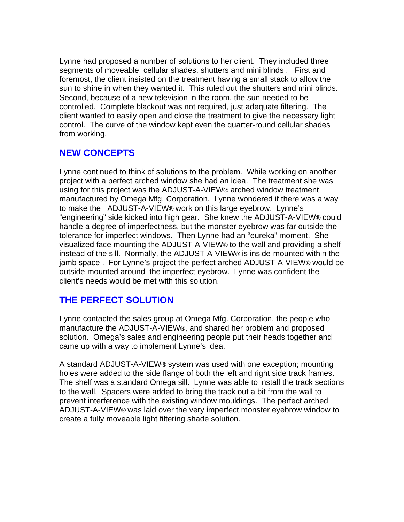Lynne had proposed a number of solutions to her client. They included three segments of moveable cellular shades, shutters and mini blinds . First and foremost, the client insisted on the treatment having a small stack to allow the sun to shine in when they wanted it. This ruled out the shutters and mini blinds. Second, because of a new television in the room, the sun needed to be controlled. Complete blackout was not required, just adequate filtering. The client wanted to easily open and close the treatment to give the necessary light control. The curve of the window kept even the quarter-round cellular shades from working.

## **NEW CONCEPTS**

Lynne continued to think of solutions to the problem. While working on another project with a perfect arched window she had an idea. The treatment she was using for this project was the ADJUST-A-VIEW® arched window treatment manufactured by Omega Mfg. Corporation. Lynne wondered if there was a way to make the ADJUST-A-VIEW® work on this large eyebrow. Lynne's "engineering" side kicked into high gear. She knew the ADJUST-A-VIEW® could handle a degree of imperfectness, but the monster eyebrow was far outside the tolerance for imperfect windows. Then Lynne had an "eureka" moment. She visualized face mounting the ADJUST-A-VIEW® to the wall and providing a shelf instead of the sill. Normally, the ADJUST-A-VIEW® is inside-mounted within the jamb space . For Lynne's project the perfect arched ADJUST-A-VIEW® would be outside-mounted around the imperfect eyebrow. Lynne was confident the client's needs would be met with this solution.

### **THE PERFECT SOLUTION**

Lynne contacted the sales group at Omega Mfg. Corporation, the people who manufacture the ADJUST-A-VIEW®, and shared her problem and proposed solution. Omega's sales and engineering people put their heads together and came up with a way to implement Lynne's idea.

A standard ADJUST-A-VIEW® system was used with one exception; mounting holes were added to the side flange of both the left and right side track frames. The shelf was a standard Omega sill. Lynne was able to install the track sections to the wall. Spacers were added to bring the track out a bit from the wall to prevent interference with the existing window mouldings. The perfect arched ADJUST-A-VIEW® was laid over the very imperfect monster eyebrow window to create a fully moveable light filtering shade solution.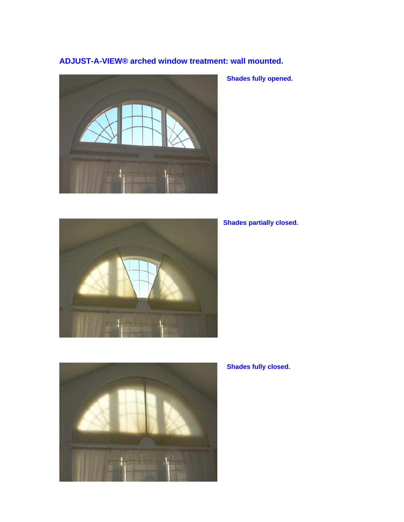#### **ADJUST-A-VIEW® arched window treatment: wall mounted.**



 **Shades fully opened.** 



#### **Shades partially closed.**



 **Shades fully closed.**